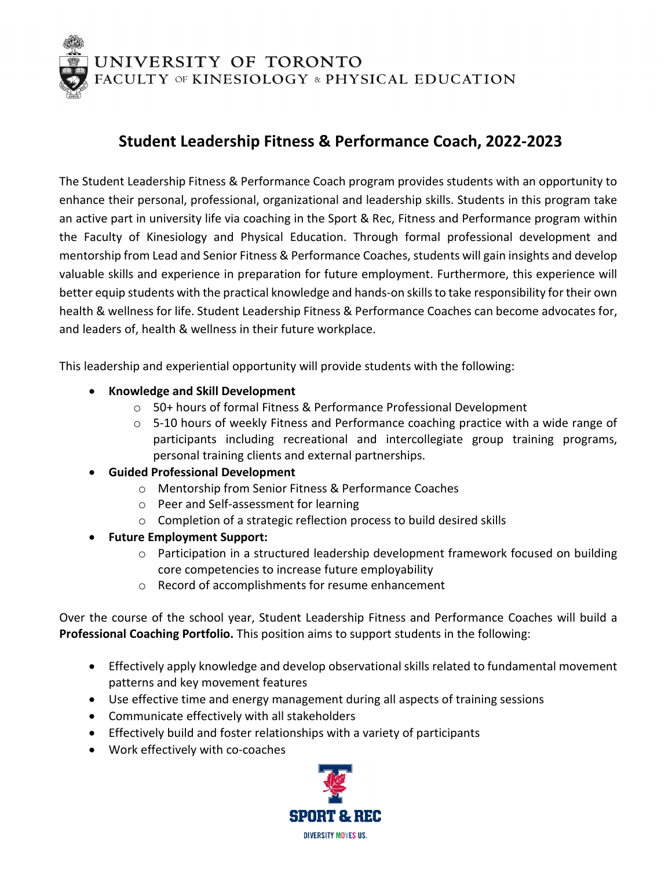UNIVERSITY OF TORONTO<br>FACULTY OF KINESIOLOGY & PHYSICAL EDUCATION

## **Student Leadership Fitness & Performance Coach, 2022-2023**

The Student Leadership Fitness & Performance Coach program provides students with an opportunity to enhance their personal, professional, organizational and leadership skills. Students in this program take an active part in university life via coaching in the Sport & Rec, Fitness and Performance program within the Faculty of Kinesiology and Physical Education. Through formal professional development and mentorship from Lead and Senior Fitness & Performance Coaches, students will gain insights and develop valuable skills and experience in preparation for future employment. Furthermore, this experience will better equip students with the practical knowledge and hands-on skillsto take responsibility for their own health & wellness for life. Student Leadership Fitness & Performance Coaches can become advocates for, and leaders of, health & wellness in their future workplace.

This leadership and experiential opportunity will provide students with the following:

- **Knowledge and Skill Development**
	- o 50+ hours of formal Fitness & Performance Professional Development
	- $\circ$  5-10 hours of weekly Fitness and Performance coaching practice with a wide range of participants including recreational and intercollegiate group training programs, personal training clients and external partnerships.
- **Guided Professional Development**
	- o Mentorship from Senior Fitness & Performance Coaches
	- o Peer and Self-assessment for learning
	- o Completion of a strategic reflection process to build desired skills
- **Future Employment Support:**
	- o Participation in a structured leadership development framework focused on building core competencies to increase future employability
	- o Record of accomplishments for resume enhancement

Over the course of the school year, Student Leadership Fitness and Performance Coaches will build a **Professional Coaching Portfolio.** This position aims to support students in the following:

- Effectively apply knowledge and develop observational skills related to fundamental movement patterns and key movement features
- Use effective time and energy management during all aspects of training sessions
- Communicate effectively with all stakeholders
- Effectively build and foster relationships with a variety of participants
- Work effectively with co-coaches

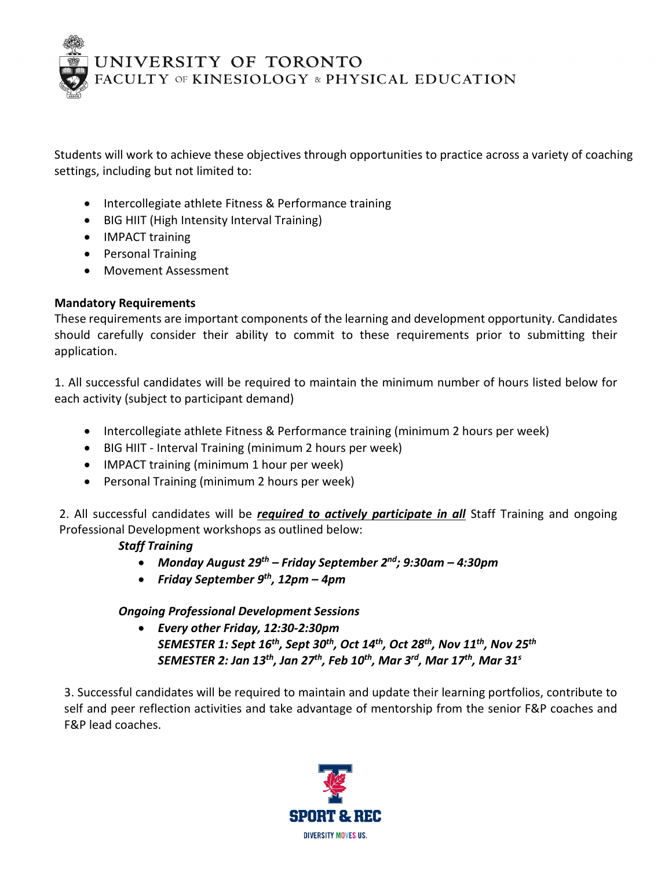UNIVERSITY OF TORONTO<br>FACULTY OF KINESIOLOGY & PHYSICAL EDUCATION

Students will work to achieve these objectives through opportunities to practice across a variety of coaching settings, including but not limited to:

- Intercollegiate athlete Fitness & Performance training
- BIG HIIT (High Intensity Interval Training)
- IMPACT training
- Personal Training
- Movement Assessment

### **Mandatory Requirements**

These requirements are important components of the learning and development opportunity. Candidates should carefully consider their ability to commit to these requirements prior to submitting their application.

1. All successful candidates will be required to maintain the minimum number of hours listed below for each activity (subject to participant demand)

- Intercollegiate athlete Fitness & Performance training (minimum 2 hours per week)
- BIG HIIT Interval Training (minimum 2 hours per week)
- IMPACT training (minimum 1 hour per week)
- Personal Training (minimum 2 hours per week)

2. All successful candidates will be *required to actively participate in all* Staff Training and ongoing Professional Development workshops as outlined below:

### *Staff Training*

- *Monday August 29th Friday September 2nd; 9:30am 4:30pm*
- *Friday September 9th, 12pm 4pm*

### *Ongoing Professional Development Sessions*

• *Every other Friday, 12:30-2:30pm SEMESTER 1: Sept 16th, Sept 30th, Oct 14th, Oct 28th, Nov 11th, Nov 25th SEMESTER 2: Jan 13th, Jan 27th, Feb 10th, Mar 3rd, Mar 17th, Mar 31s*

3. Successful candidates will be required to maintain and update their learning portfolios, contribute to self and peer reflection activities and take advantage of mentorship from the senior F&P coaches and F&P lead coaches.